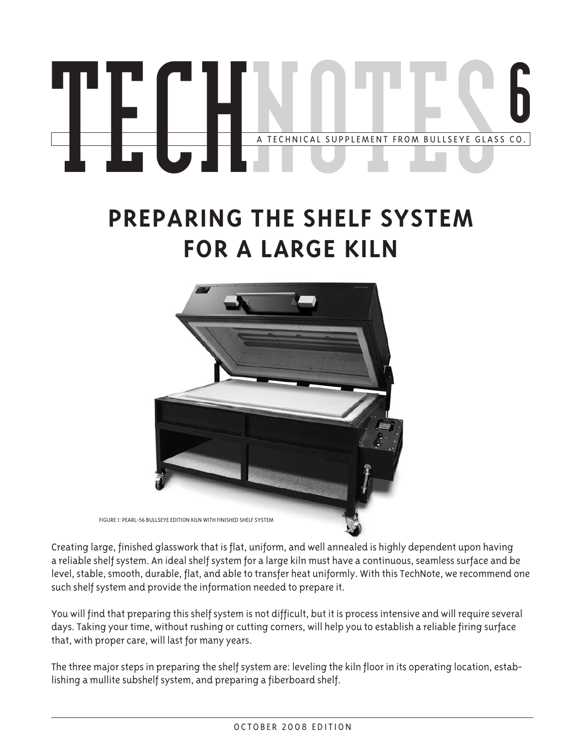# A TECHNICAL SUPPLEMENT FROM BULLSEYE GLASS CO. **6 TECHNICAL SUPPLEMENT FROM BULLSEYE GLASS CO.**

# **Preparing the shelf system for a large kiln**



Creating large, finished glasswork that is flat, uniform, and well annealed is highly dependent upon having a reliable shelf system. An ideal shelf system for a large kiln must have a continuous, seamless surface and be level, stable, smooth, durable, flat, and able to transfer heat uniformly. With this TechNote, we recommend one such shelf system and provide the information needed to prepare it.

You will find that preparing this shelf system is not difficult, but it is process intensive and will require several days. Taking your time, without rushing or cutting corners, will help you to establish a reliable firing surface that, with proper care, will last for many years.

The three major steps in preparing the shelf system are: leveling the kiln floor in its operating location, establishing a mullite subshelf system, and preparing a fiberboard shelf.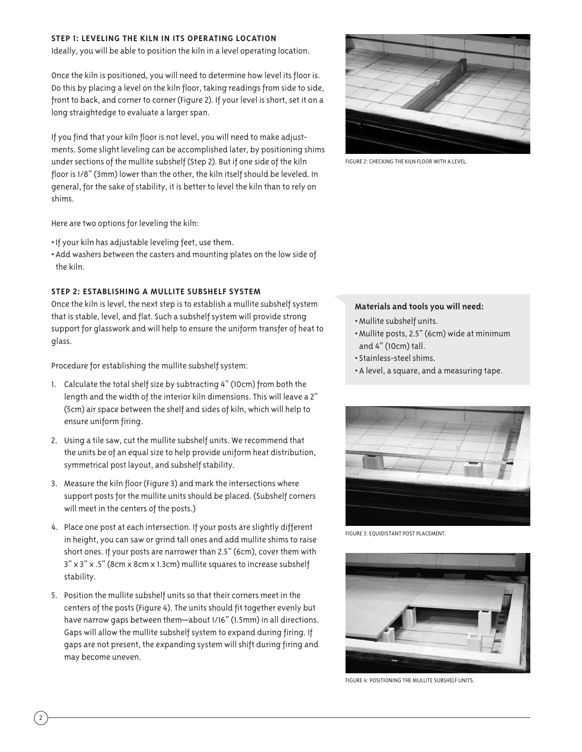#### **STEP 1: Leveling the Kiln in Its operating Location**

Ideally, you will be able to position the kiln in a level operating location.

Once the kiln is positioned, you will need to determine how level its floor is. Do this by placing a level on the kiln floor, taking readings from side to side, front to back, and corner to corner (Figure 2). If your level is short, set it on a long straightedge to evaluate a larger span.

If you find that your kiln floor is not level, you will need to make adjustments. Some slight leveling can be accomplished later, by positioning shims under sections of the mullite subshelf (Step 2). But if one side of the kiln floor is 1/8" (3mm) lower than the other, the kiln itself should be leveled. In general, for the sake of stability, it is better to level the kiln than to rely on shims.

Here are two options for leveling the kiln:

- If your kiln has adjustable leveling feet, use them.
- Add washers between the casters and mounting plates on the low side of the kiln.

## **STEP 2: Establishing a Mullite Subshelf System**

Once the kiln is level, the next step is to establish a mullite subshelf system that is stable, level, and flat. Such a subshelf system will provide strong support for glasswork and will help to ensure the uniform transfer of heat to glass.

Procedure for establishing the mullite subshelf system:

- 1. Calculate the total shelf size by subtracting 4" (10cm) from both the length and the width of the interior kiln dimensions. This will leave a 2" (5cm) air space between the shelf and sides of kiln, which will help to ensure uniform firing.
- 2. Using a tile saw, cut the mullite subshelf units. We recommend that the units be of an equal size to help provide uniform heat distribution, symmetrical post layout, and subshelf stability.
- 3. Measure the kiln floor (Figure 3) and mark the intersections where support posts for the mullite units should be placed. (Subshelf corners will meet in the centers of the posts.)
- 4. Place one post at each intersection. If your posts are slightly different in height, you can saw or grind tall ones and add mullite shims to raise short ones. If your posts are narrower than 2.5" (6cm), cover them with 3" x 3" x .5" (8cm x 8cm x 1.3cm) mullite squares to increase subshelf stability.
- 5. Position the mullite subshelf units so that their corners meet in the centers of the posts (Figure 4). The units should fit together evenly but have narrow gaps between them—about 1/16" (1.5mm) in all directions. Gaps will allow the mullite subshelf system to expand during firing. If gaps are not present, the expanding system will shift during firing and may become uneven.



Figure 2: Checking the kiln floor with a level.

#### **Materials and tools you will need:**

- •Mullite subshelf units.
- •Mullite posts, 2.5" (6cm) wide at minimum and 4" (10cm) tall.
- Stainless-steel shims.
- A level, a square, and a measuring tape.



FIGURE 3: EQUIDISTANT POST PLACEMENT.



Figure 4: positioning the mullite subshelf units.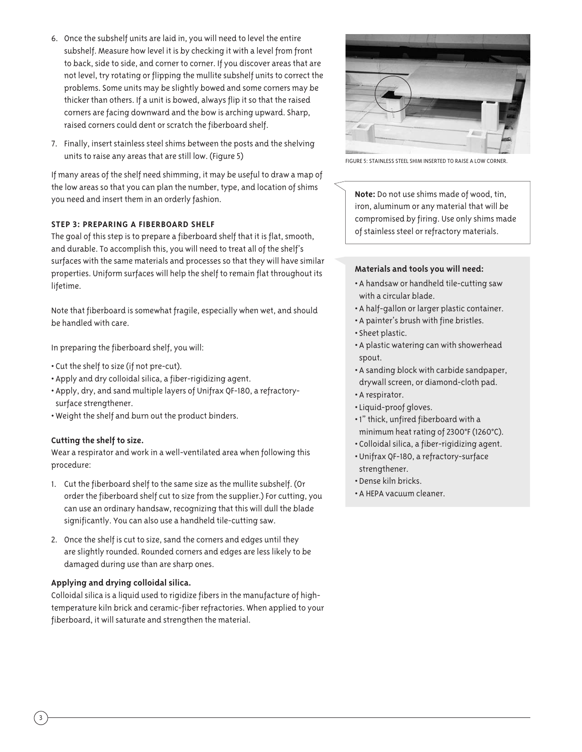- 6. Once the subshelf units are laid in, you will need to level the entire subshelf. Measure how level it is by checking it with a level from front to back, side to side, and corner to corner. If you discover areas that are not level, try rotating or flipping the mullite subshelf units to correct the problems. Some units may be slightly bowed and some corners may be thicker than others. If a unit is bowed, always flip it so that the raised corners are facing downward and the bow is arching upward. Sharp, raised corners could dent or scratch the fiberboard shelf.
- 7. Finally, insert stainless steel shims between the posts and the shelving units to raise any areas that are still low. (Figure 5)

If many areas of the shelf need shimming, it may be useful to draw a map of the low areas so that you can plan the number, type, and location of shims you need and insert them in an orderly fashion.

# **Step 3: Preparing a Fiberboard Shelf**

The goal of this step is to prepare a fiberboard shelf that it is flat, smooth, and durable. To accomplish this, you will need to treat all of the shelf's surfaces with the same materials and processes so that they will have similar properties. Uniform surfaces will help the shelf to remain flat throughout its lifetime.

Note that fiberboard is somewhat fragile, especially when wet, and should be handled with care.

In preparing the fiberboard shelf, you will:

- Cut the shelf to size (if not pre-cut).
- Apply and dry colloidal silica, a fiber-rigidizing agent.
- Apply, dry, and sand multiple layers of Unifrax QF-180, a refractorysurface strengthener.
- Weight the shelf and burn out the product binders.

## **Cutting the shelf to size.**

Wear a respirator and work in a well-ventilated area when following this procedure:

- 1. Cut the fiberboard shelf to the same size as the mullite subshelf. (Or order the fiberboard shelf cut to size from the supplier.) For cutting, you can use an ordinary handsaw, recognizing that this will dull the blade significantly. You can also use a handheld tile-cutting saw.
- 2. Once the shelf is cut to size, sand the corners and edges until they are slightly rounded. Rounded corners and edges are less likely to be damaged during use than are sharp ones.

# **Applying and drying colloidal silica.**

Colloidal silica is a liquid used to rigidize fibers in the manufacture of hightemperature kiln brick and ceramic-fiber refractories. When applied to your fiberboard, it will saturate and strengthen the material.



Figure 5: stainless steel shim inserted to raise a low corner.

**Note:** Do not use shims made of wood, tin, iron, aluminum or any material that will be compromised by firing. Use only shims made of stainless steel or refractory materials.

## **Materials and tools you will need:**

- A handsaw or handheld tile-cutting saw with a circular blade.
- A half-gallon or larger plastic container.
- A painter's brush with fine bristles.
- Sheet plastic.
- A plastic watering can with showerhead spout.
- A sanding block with carbide sandpaper, drywall screen, or diamond-cloth pad.
- A respirator.
- •Liquid-proof gloves.
- 1" thick, unfired fiberboard with a minimum heat rating of 2300°F (1260°C).
- Colloidal silica, a fiber-rigidizing agent.
- Unifrax QF-180, a refractory-surface strengthener.
- Dense kiln bricks.
- A HEPA vacuum cleaner.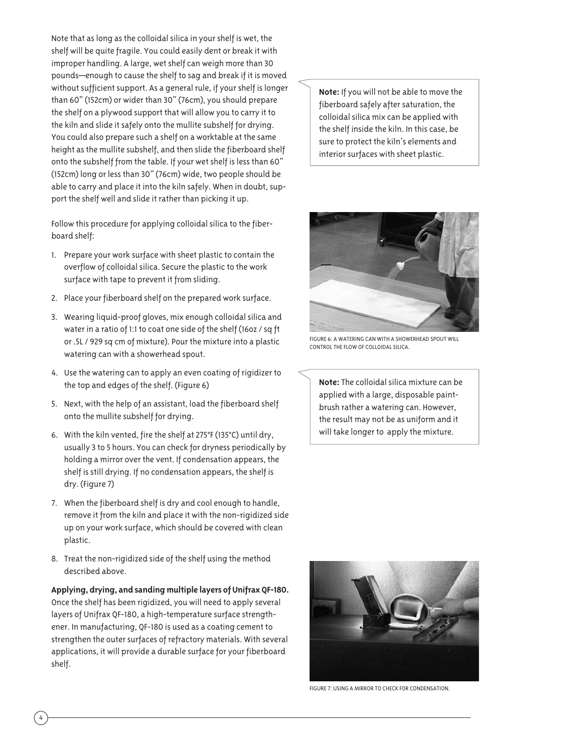Note that as long as the colloidal silica in your shelf is wet, the shelf will be quite fragile. You could easily dent or break it with improper handling. A large, wet shelf can weigh more than 30 pounds—enough to cause the shelf to sag and break if it is moved without sufficient support. As a general rule, if your shelf is longer than 60" (152cm) or wider than 30" (76cm), you should prepare the shelf on a plywood support that will allow you to carry it to the kiln and slide it safely onto the mullite subshelf for drying. You could also prepare such a shelf on a worktable at the same height as the mullite subshelf, and then slide the fiberboard shelf onto the subshelf from the table. If your wet shelf is less than 60" (152cm) long or less than 30" (76cm) wide, two people should be able to carry and place it into the kiln safely. When in doubt, support the shelf well and slide it rather than picking it up.

Follow this procedure for applying colloidal silica to the fiberboard shelf:

- 1. Prepare your work surface with sheet plastic to contain the overflow of colloidal silica. Secure the plastic to the work surface with tape to prevent it from sliding.
- 2. Place your fiberboard shelf on the prepared work surface.
- 3. Wearing liquid-proof gloves, mix enough colloidal silica and water in a ratio of 1:1 to coat one side of the shelf (16oz / sq ft or .5L / 929 sq cm of mixture). Pour the mixture into a plastic watering can with a showerhead spout.
- 4. Use the watering can to apply an even coating of rigidizer to the top and edges of the shelf. (Figure 6)
- 5. Next, with the help of an assistant, load the fiberboard shelf onto the mullite subshelf for drying.
- 6. With the kiln vented, fire the shelf at 275°F (135°C) until dry, usually 3 to 5 hours. You can check for dryness periodically by holding a mirror over the vent. If condensation appears, the shelf is still drying. If no condensation appears, the shelf is dry. (Figure 7)
- 7. When the fiberboard shelf is dry and cool enough to handle, remove it from the kiln and place it with the non-rigidized side up on your work surface, which should be covered with clean plastic.
- 8. Treat the non-rigidized side of the shelf using the method described above.

**Applying, drying, and sanding multiple layers of Unifrax QF-180.** Once the shelf has been rigidized, you will need to apply several layers of Unifrax QF-180, a high-temperature surface strengthener. In manufacturing, QF-180 is used as a coating cement to strengthen the outer surfaces of refractory materials. With several applications, it will provide a durable surface for your fiberboard shelf.

**Note:** If you will not be able to move the fiberboard safely after saturation, the colloidal silica mix can be applied with the shelf inside the kiln. In this case, be sure to protect the kiln's elements and interior surfaces with sheet plastic.



Figure 6: a watering can with a showerhead spout will control the flow of colloidal silica.

**Note:** The colloidal silica mixture can be applied with a large, disposable paintbrush rather a watering can. However, the result may not be as uniform and it will take longer to apply the mixture.



Figure 7: using a mirror to check for condensation.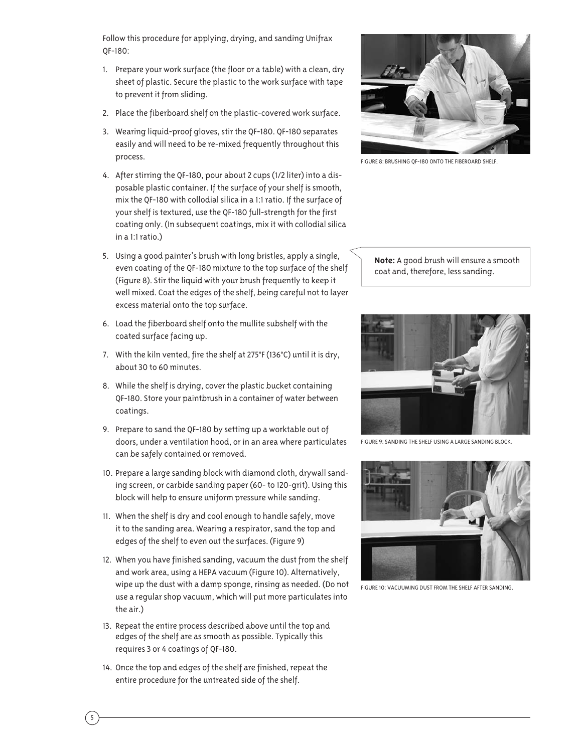Follow this procedure for applying, drying, and sanding Unifrax QF-180:

- 1. Prepare your work surface (the floor or a table) with a clean, dry sheet of plastic. Secure the plastic to the work surface with tape to prevent it from sliding.
- 2. Place the fiberboard shelf on the plastic-covered work surface.
- 3. Wearing liquid-proof gloves, stir the QF-180. QF-180 separates easily and will need to be re-mixed frequently throughout this process.
- 4. After stirring the QF-180, pour about 2 cups (1/2 liter) into a disposable plastic container. If the surface of your shelf is smooth, mix the QF-180 with collodial silica in a 1:1 ratio. If the surface of your shelf is textured, use the QF-180 full-strength for the first coating only. (In subsequent coatings, mix it with collodial silica in a 1:1 ratio.)
- 5. Using a good painter's brush with long bristles, apply a single, even coating of the QF-180 mixture to the top surface of the shelf (Figure 8). Stir the liquid with your brush frequently to keep it well mixed. Coat the edges of the shelf, being careful not to layer excess material onto the top surface.
- 6. Load the fiberboard shelf onto the mullite subshelf with the coated surface facing up.
- 7. With the kiln vented, fire the shelf at 275°F (136°C) until it is dry, about 30 to 60 minutes.
- 8. While the shelf is drying, cover the plastic bucket containing QF-180. Store your paintbrush in a container of water between coatings.
- 9. Prepare to sand the QF-180 by setting up a worktable out of doors, under a ventilation hood, or in an area where particulates can be safely contained or removed.
- 10. Prepare a large sanding block with diamond cloth, drywall sanding screen, or carbide sanding paper (60- to 120-grit). Using this block will help to ensure uniform pressure while sanding.
- 11. When the shelf is dry and cool enough to handle safely, move it to the sanding area. Wearing a respirator, sand the top and edges of the shelf to even out the surfaces. (Figure 9)
- 12. When you have finished sanding, vacuum the dust from the shelf and work area, using a HEPA vacuum (Figure 10). Alternatively, wipe up the dust with a damp sponge, rinsing as needed. (Do not use a regular shop vacuum, which will put more particulates into the air.)
- 13. Repeat the entire process described above until the top and edges of the shelf are as smooth as possible. Typically this requires 3 or 4 coatings of QF-180.
- 14. Once the top and edges of the shelf are finished, repeat the entire procedure for the untreated side of the shelf.



Figure 8: Brushing qf-180 onto the fiberoard shelf.

**Note:** A good brush will ensure a smooth coat and, therefore, less sanding.



Figure 9: sanding the shelf using a large sanding block.



Figure 10: vacuuming dust from the shelf after sanding.